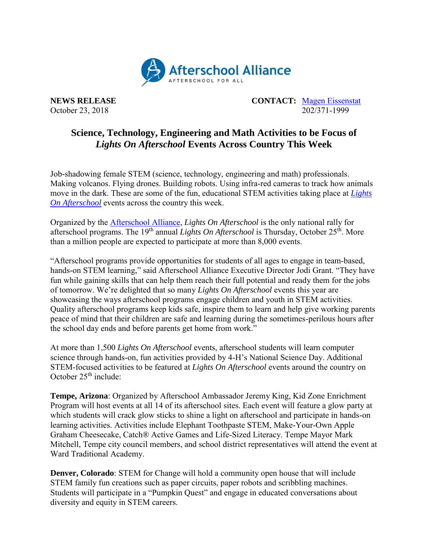

October 23, 2018

**NEWS RELEASE CONTACT:** <u>[Magen Eissenstat](mailto:magen@prsolutionsdc.com)</u><br>October 23, 2018 **CONTACT**: <u>Magen Eissenstat</u>

## **Science, Technology, Engineering and Math Activities to be Focus of** *Lights On Afterschool* **Events Across Country This Week**

Job-shadowing female STEM (science, technology, engineering and math) professionals. Making volcanos. Flying drones. Building robots. Using infra-red cameras to track how animals move in the dark. These are some of the fun, educational STEM activities taking place at *[Lights](http://www.afterschoolalliance.org/loa.cfm)  [On Afterschool](http://www.afterschoolalliance.org/loa.cfm)* events across the country this week.

Organized by the [Afterschool Alliance,](http://www.afterschoolalliance.org/) *Lights On Afterschool* is the only national rally for afterschool programs. The 19<sup>th</sup> annual *Lights On Afterschool* is Thursday, October 25<sup>th</sup>. More than a million people are expected to participate at more than 8,000 events.

"Afterschool programs provide opportunities for students of all ages to engage in team-based, hands-on STEM learning," said Afterschool Alliance Executive Director Jodi Grant. "They have fun while gaining skills that can help them reach their full potential and ready them for the jobs of tomorrow. We're delighted that so many *Lights On Afterschool* events this year are showcasing the ways afterschool programs engage children and youth in STEM activities. Quality afterschool programs keep kids safe, inspire them to learn and help give working parents peace of mind that their children are safe and learning during the sometimes-perilous hours after the school day ends and before parents get home from work."

At more than 1,500 *Lights On Afterschool* events, afterschool students will learn computer science through hands-on, fun activities provided by 4-H's National Science Day. Additional STEM-focused activities to be featured at *Lights On Afterschool* events around the country on October 25<sup>th</sup> include:

**Tempe, Arizona**: Organized by Afterschool Ambassador Jeremy King, Kid Zone Enrichment Program will host events at all 14 of its afterschool sites. Each event will feature a glow party at which students will crack glow sticks to shine a light on afterschool and participate in hands-on learning activities. Activities include Elephant Toothpaste STEM, Make-Your-Own Apple Graham Cheesecake, Catch® Active Games and Life-Sized Literacy. Tempe Mayor Mark Mitchell, Tempe city council members, and school district representatives will attend the event at Ward Traditional Academy.

**Denver, Colorado**: STEM for Change will hold a community open house that will include STEM family fun creations such as paper circuits, paper robots and scribbling machines. Students will participate in a "Pumpkin Quest" and engage in educated conversations about diversity and equity in STEM careers.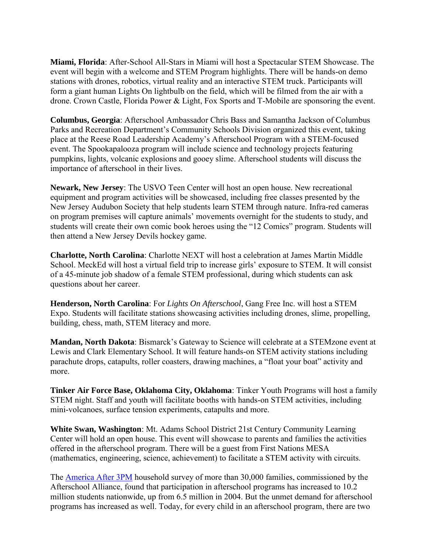**Miami, Florida**: After-School All-Stars in Miami will host a Spectacular STEM Showcase. The event will begin with a welcome and STEM Program highlights. There will be hands-on demo stations with drones, robotics, virtual reality and an interactive STEM truck. Participants will form a giant human Lights On lightbulb on the field, which will be filmed from the air with a drone. Crown Castle, Florida Power & Light, Fox Sports and T-Mobile are sponsoring the event.

**Columbus, Georgia**: Afterschool Ambassador Chris Bass and Samantha Jackson of Columbus Parks and Recreation Department's Community Schools Division organized this event, taking place at the Reese Road Leadership Academy's Afterschool Program with a STEM-focused event. The Spookapalooza program will include science and technology projects featuring pumpkins, lights, volcanic explosions and gooey slime. Afterschool students will discuss the importance of afterschool in their lives.

**Newark, New Jersey**: The USVO Teen Center will host an open house. New recreational equipment and program activities will be showcased, including free classes presented by the New Jersey Audubon Society that help students learn STEM through nature. Infra-red cameras on program premises will capture animals' movements overnight for the students to study, and students will create their own comic book heroes using the "12 Comics" program. Students will then attend a New Jersey Devils hockey game.

**Charlotte, North Carolina**: Charlotte NEXT will host a celebration at James Martin Middle School. MeckEd will host a virtual field trip to increase girls' exposure to STEM. It will consist of a 45-minute job shadow of a female STEM professional, during which students can ask questions about her career.

**Henderson, North Carolina**: For *Lights On Afterschool*, Gang Free Inc. will host a STEM Expo. Students will facilitate stations showcasing activities including drones, slime, propelling, building, chess, math, STEM literacy and more.

**Mandan, North Dakota**: Bismarck's Gateway to Science will celebrate at a STEMzone event at Lewis and Clark Elementary School. It will feature hands-on STEM activity stations including parachute drops, catapults, roller coasters, drawing machines, a "float your boat" activity and more.

**Tinker Air Force Base, Oklahoma City, Oklahoma**: Tinker Youth Programs will host a family STEM night. Staff and youth will facilitate booths with hands-on STEM activities, including mini-volcanoes, surface tension experiments, catapults and more.

**White Swan, Washington**: Mt. Adams School District 21st Century Community Learning Center will hold an open house. This event will showcase to parents and families the activities offered in the afterschool program. There will be a guest from First Nations MESA (mathematics, engineering, science, achievement) to facilitate a STEM activity with circuits.

The [America After 3PM](http://www.afterschoolalliance.org/AA3PM/) household survey of more than 30,000 families, commissioned by the Afterschool Alliance, found that participation in afterschool programs has increased to 10.2 million students nationwide, up from 6.5 million in 2004. But the unmet demand for afterschool programs has increased as well. Today, for every child in an afterschool program, there are two